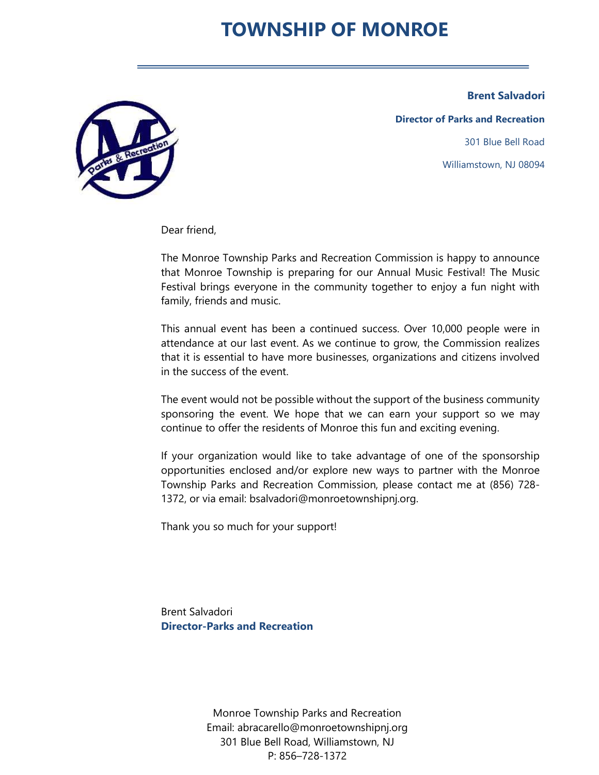# TOWNSHIP OF MONROE

Brent Salvadori



Director of Parks and Recreation 301 Blue Bell Road Williamstown, NJ 08094

Dear friend,

The Monroe Township Parks and Recreation Commission is happy to announce that Monroe Township is preparing for our Annual Music Festival! The Music Festival brings everyone in the community together to enjoy a fun night with family, friends and music.

This annual event has been a continued success. Over 10,000 people were in attendance at our last event. As we continue to grow, the Commission realizes that it is essential to have more businesses, organizations and citizens involved in the success of the event.

The event would not be possible without the support of the business community sponsoring the event. We hope that we can earn your support so we may continue to offer the residents of Monroe this fun and exciting evening.

If your organization would like to take advantage of one of the sponsorship opportunities enclosed and/or explore new ways to partner with the Monroe Township Parks and Recreation Commission, please contact me at (856) 728- 1372, or via email: bsalvadori@monroetownshipnj.org.

Thank you so much for your support!

Brent Salvadori Director-Parks and Recreation

> Monroe Township Parks and Recreation Email: abracarello@monroetownshipnj.org 301 Blue Bell Road, Williamstown, NJ P: 856–728-1372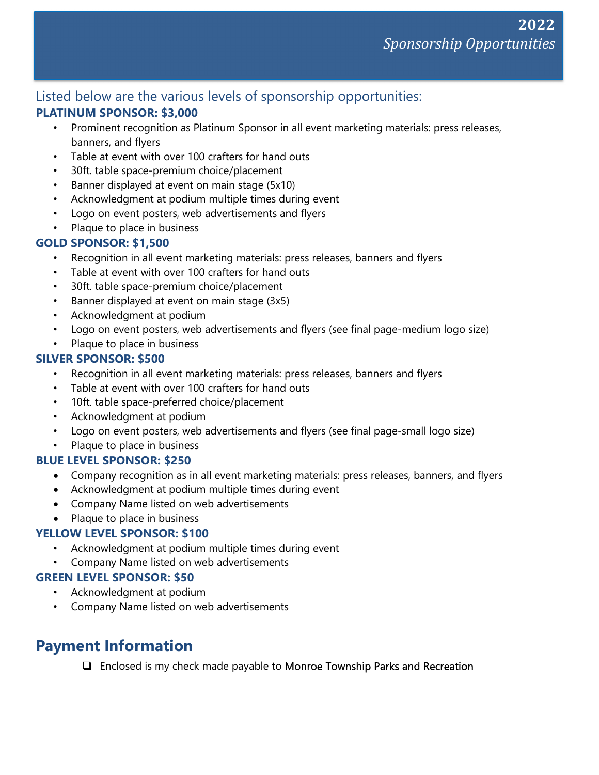## Listed below are the various levels of sponsorship opportunities:

#### PLATINUM SPONSOR: \$3,000

- Prominent recognition as Platinum Sponsor in all event marketing materials: press releases, banners, and flyers
- Table at event with over 100 crafters for hand outs
- 30ft. table space-premium choice/placement
- Banner displayed at event on main stage (5x10)
- Acknowledgment at podium multiple times during event
- Logo on event posters, web advertisements and flyers
- Plaque to place in business

## GOLD SPONSOR: \$1,500

- Recognition in all event marketing materials: press releases, banners and flyers
- Table at event with over 100 crafters for hand outs
- 30ft. table space-premium choice/placement
- Banner displayed at event on main stage (3x5)
- Acknowledgment at podium
- Logo on event posters, web advertisements and flyers (see final page-medium logo size)
- Plaque to place in business

## SILVER SPONSOR: \$500

- Recognition in all event marketing materials: press releases, banners and flyers
- Table at event with over 100 crafters for hand outs
- 10ft. table space-preferred choice/placement
- Acknowledgment at podium
- Logo on event posters, web advertisements and flyers (see final page-small logo size)
- Plaque to place in business

#### BLUE LEVEL SPONSOR: \$250

- Company recognition as in all event marketing materials: press releases, banners, and flyers
- Acknowledgment at podium multiple times during event
- Company Name listed on web advertisements
- Plaque to place in business

#### YELLOW LEVEL SPONSOR: \$100

- Acknowledgment at podium multiple times during event
- Company Name listed on web advertisements

#### GREEN LEVEL SPONSOR: \$50

- Acknowledgment at podium
- Company Name listed on web advertisements

# Payment Information

 $\Box$  Enclosed is my check made payable to **Monroe Township Parks and Recreation**